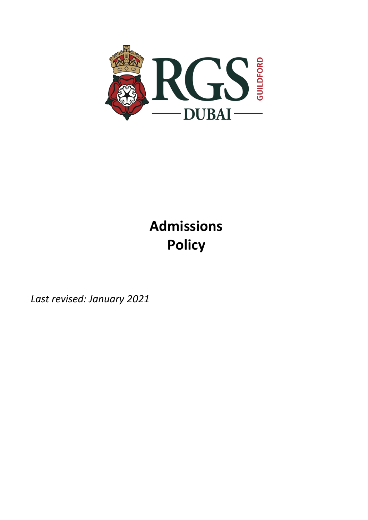

# **Admissions Policy**

*Last revised: January 2021*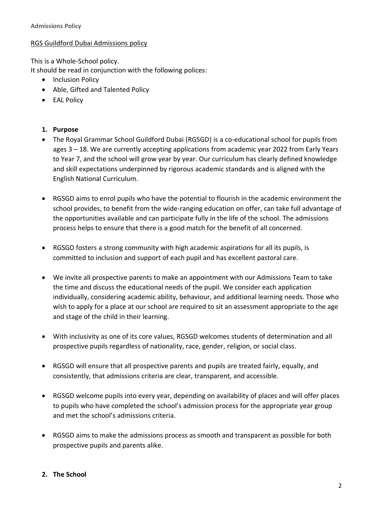#### RGS Guildford Dubai Admissions policy

This is a Whole-School policy.

It should be read in conjunction with the following polices:

- Inclusion Policy
- Able, Gifted and Talented Policy
- EAL Policy

## **1. Purpose**

- The Royal Grammar School Guildford Dubai (RGSGD) is a co-educational school for pupils from ages 3 – 18. We are currently accepting applications from academic year 2022 from Early Years to Year 7, and the school will grow year by year. Our curriculum has clearly defined knowledge and skill expectations underpinned by rigorous academic standards and is aligned with the English National Curriculum.
- RGSGD aims to enrol pupils who have the potential to flourish in the academic environment the school provides, to benefit from the wide-ranging education on offer, can take full advantage of the opportunities available and can participate fully in the life of the school. The admissions process helps to ensure that there is a good match for the benefit of all concerned.
- RGSGD fosters a strong community with high academic aspirations for all its pupils, is committed to inclusion and support of each pupil and has excellent pastoral care.
- We invite all prospective parents to make an appointment with our Admissions Team to take the time and discuss the educational needs of the pupil. We consider each application individually, considering academic ability, behaviour, and additional learning needs. Those who wish to apply for a place at our school are required to sit an assessment appropriate to the age and stage of the child in their learning.
- With inclusivity as one of its core values, RGSGD welcomes students of determination and all prospective pupils regardless of nationality, race, gender, religion, or social class.
- RGSGD will ensure that all prospective parents and pupils are treated fairly, equally, and consistently, that admissions criteria are clear, transparent, and accessible.
- RGSGD welcome pupils into every year, depending on availability of places and will offer places to pupils who have completed the school's admission process for the appropriate year group and met the school's admissions criteria.
- RGSGD aims to make the admissions process as smooth and transparent as possible for both prospective pupils and parents alike.

#### **2. The School**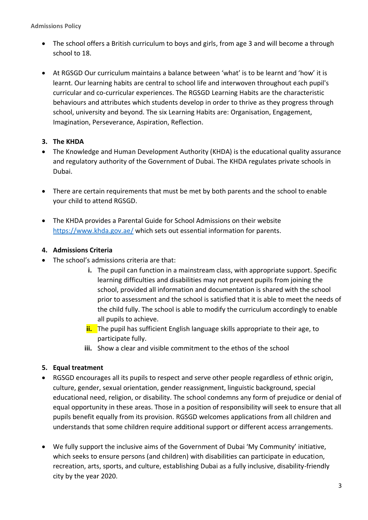**Admissions Policy**

- The school offers a British curriculum to boys and girls, from age 3 and will become a through school to 18.
- At RGSGD Our curriculum maintains a balance between 'what' is to be learnt and 'how' it is learnt. Our learning habits are central to school life and interwoven throughout each pupil's curricular and co-curricular experiences. The RGSGD Learning Habits are the characteristic behaviours and attributes which students develop in order to thrive as they progress through school, university and beyond. The six Learning Habits are: Organisation, Engagement, Imagination, Perseverance, Aspiration, Reflection.

## **3. The KHDA**

- The Knowledge and Human Development Authority (KHDA) is the educational quality assurance and regulatory authority of the Government of Dubai. The KHDA regulates private schools in Dubai.
- There are certain requirements that must be met by both parents and the school to enable your child to attend RGSGD.
- The KHDA provides a Parental Guide for School Admissions on their website <https://www.khda.gov.ae/> which sets out essential information for parents.

#### **4. Admissions Criteria**

- The school's admissions criteria are that:
	- **i.** The pupil can function in a mainstream class, with appropriate support. Specific learning difficulties and disabilities may not prevent pupils from joining the school, provided all information and documentation is shared with the school prior to assessment and the school is satisfied that it is able to meet the needs of the child fully. The school is able to modify the curriculum accordingly to enable all pupils to achieve.
	- **ii.** The pupil has sufficient English language skills appropriate to their age, to participate fully.
	- **iii.** Show a clear and visible commitment to the ethos of the school

## **5. Equal treatment**

- RGSGD encourages all its pupils to respect and serve other people regardless of ethnic origin, culture, gender, sexual orientation, gender reassignment, linguistic background, special educational need, religion, or disability. The school condemns any form of prejudice or denial of equal opportunity in these areas. Those in a position of responsibility will seek to ensure that all pupils benefit equally from its provision. RGSGD welcomes applications from all children and understands that some children require additional support or different access arrangements.
- We fully support the inclusive aims of the Government of Dubai 'My Community' initiative, which seeks to ensure persons (and children) with disabilities can participate in education, recreation, arts, sports, and culture, establishing Dubai as a fully inclusive, disability-friendly city by the year 2020.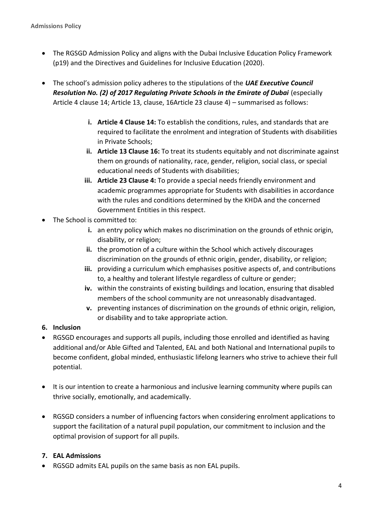- The RGSGD Admission Policy and aligns with the Dubai Inclusive Education Policy Framework (p19) and the Directives and Guidelines for Inclusive Education (2020).
- The school's admission policy adheres to the stipulations of the *UAE Executive Council*  **Resolution No. (2) of 2017 Regulating Private Schools in the Emirate of Dubai** (especially Article 4 clause 14; Article 13, clause, 16Article 23 clause 4) – summarised as follows:
	- **i. Article 4 Clause 14:** To establish the conditions, rules, and standards that are required to facilitate the enrolment and integration of Students with disabilities in Private Schools;
	- **ii. Article 13 Clause 16:** To treat its students equitably and not discriminate against them on grounds of nationality, race, gender, religion, social class, or special educational needs of Students with disabilities;
	- **iii. Article 23 Clause 4:** To provide a special needs friendly environment and academic programmes appropriate for Students with disabilities in accordance with the rules and conditions determined by the KHDA and the concerned Government Entities in this respect.
- The School is committed to:
	- **i.** an entry policy which makes no discrimination on the grounds of ethnic origin, disability, or religion;
	- **ii.** the promotion of a culture within the School which actively discourages discrimination on the grounds of ethnic origin, gender, disability, or religion;
	- **iii.** providing a curriculum which emphasises positive aspects of, and contributions to, a healthy and tolerant lifestyle regardless of culture or gender;
	- **iv.** within the constraints of existing buildings and location, ensuring that disabled members of the school community are not unreasonably disadvantaged.
	- **v.** preventing instances of discrimination on the grounds of ethnic origin, religion, or disability and to take appropriate action.
- **6. Inclusion**
- RGSGD encourages and supports all pupils, including those enrolled and identified as having additional and/or Able Gifted and Talented, EAL and both National and International pupils to become confident, global minded, enthusiastic lifelong learners who strive to achieve their full potential.
- It is our intention to create a harmonious and inclusive learning community where pupils can thrive socially, emotionally, and academically.
- RGSGD considers a number of influencing factors when considering enrolment applications to support the facilitation of a natural pupil population, our commitment to inclusion and the optimal provision of support for all pupils.

# **7. EAL Admissions**

• RGSGD admits EAL pupils on the same basis as non EAL pupils.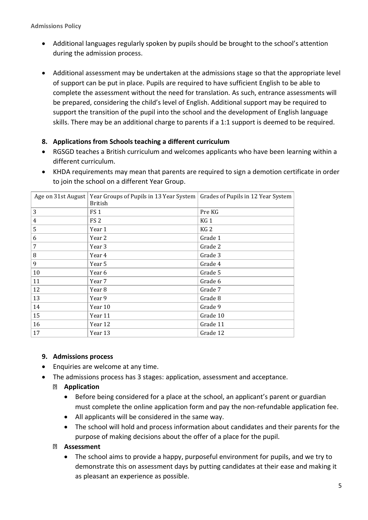- Additional languages regularly spoken by pupils should be brought to the school's attention during the admission process.
- Additional assessment may be undertaken at the admissions stage so that the appropriate level of support can be put in place. Pupils are required to have sufficient English to be able to complete the assessment without the need for translation. As such, entrance assessments will be prepared, considering the child's level of English. Additional support may be required to support the transition of the pupil into the school and the development of English language skills. There may be an additional charge to parents if a 1:1 support is deemed to be required.

## **8. Applications from Schools teaching a different curriculum**

- RGSGD teaches a British curriculum and welcomes applicants who have been learning within a different curriculum.
- KHDA requirements may mean that parents are required to sign a demotion certificate in order to join the school on a different Year Group.

| Age on 31st August | Year Groups of Pupils in 13 Year System  <br><b>British</b> | Grades of Pupils in 12 Year System |
|--------------------|-------------------------------------------------------------|------------------------------------|
| 3                  | FS <sub>1</sub>                                             | Pre KG                             |
| $\overline{4}$     | FS <sub>2</sub>                                             | KG <sub>1</sub>                    |
| 5                  | Year 1                                                      | KG <sub>2</sub>                    |
| 6                  | Year 2                                                      | Grade 1                            |
| 7                  | Year 3                                                      | Grade 2                            |
| 8                  | Year 4                                                      | Grade 3                            |
| 9                  | Year 5                                                      | Grade 4                            |
| 10                 | Year 6                                                      | Grade 5                            |
| 11                 | Year 7                                                      | Grade 6                            |
| 12                 | Year 8                                                      | Grade 7                            |
| 13                 | Year 9                                                      | Grade 8                            |
| 14                 | Year 10                                                     | Grade 9                            |
| 15                 | Year 11                                                     | Grade 10                           |
| 16                 | Year 12                                                     | Grade 11                           |
| 17                 | Year 13                                                     | Grade 12                           |

#### **9. Admissions process**

- Enquiries are welcome at any time.
- The admissions process has 3 stages: application, assessment and acceptance.

## **Application**

- Before being considered for a place at the school, an applicant's parent or guardian must complete the online application form and pay the non-refundable application fee.
- All applicants will be considered in the same way.
- The school will hold and process information about candidates and their parents for the purpose of making decisions about the offer of a place for the pupil.

#### **Assessment**

• The school aims to provide a happy, purposeful environment for pupils, and we try to demonstrate this on assessment days by putting candidates at their ease and making it as pleasant an experience as possible.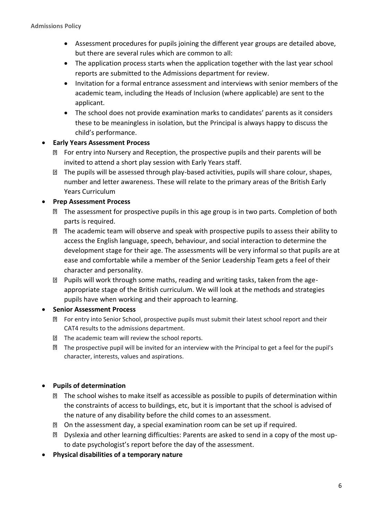- Assessment procedures for pupils joining the different year groups are detailed above, but there are several rules which are common to all:
- The application process starts when the application together with the last year school reports are submitted to the Admissions department for review.
- Invitation for a formal entrance assessment and interviews with senior members of the academic team, including the Heads of Inclusion (where applicable) are sent to the applicant.
- The school does not provide examination marks to candidates' parents as it considers these to be meaningless in isolation, but the Principal is always happy to discuss the child's performance.

## • **Early Years Assessment Process**

- **EX** For entry into Nursery and Reception, the prospective pupils and their parents will be invited to attend a short play session with Early Years staff.
- **The pupils will be assessed through play-based activities, pupils will share colour, shapes,** number and letter awareness. These will relate to the primary areas of the British Early Years Curriculum

## • **Prep Assessment Process**

- **I** The assessment for prospective pupils in this age group is in two parts. Completion of both parts is required.
- The academic team will observe and speak with prospective pupils to assess their ability to access the English language, speech, behaviour, and social interaction to determine the development stage for their age. The assessments will be very informal so that pupils are at ease and comfortable while a member of the Senior Leadership Team gets a feel of their character and personality.
- Pupils will work through some maths, reading and writing tasks, taken from the ageappropriate stage of the British curriculum. We will look at the methods and strategies pupils have when working and their approach to learning.

## • **Senior Assessment Process**

- For entry into Senior School, prospective pupils must submit their latest school report and their CAT4 results to the admissions department.
- **The academic team will review the school reports.**
- The prospective pupil will be invited for an interview with the Principal to get a feel for the pupil's character, interests, values and aspirations.

## • **Pupils of determination**

- The school wishes to make itself as accessible as possible to pupils of determination within the constraints of access to buildings, etc, but it is important that the school is advised of the nature of any disability before the child comes to an assessment.
- On the assessment day, a special examination room can be set up if required.
- Dyslexia and other learning difficulties: Parents are asked to send in a copy of the most upto date psychologist's report before the day of the assessment.
- **Physical disabilities of a temporary nature**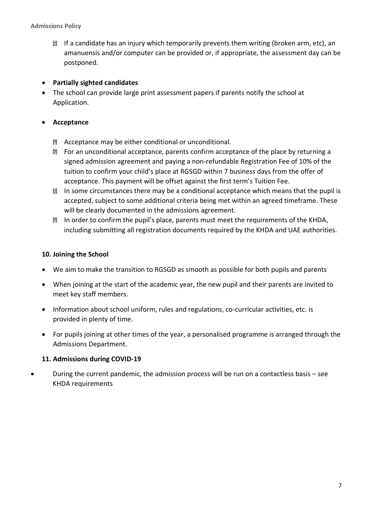$\boxtimes$  If a candidate has an injury which temporarily prevents them writing (broken arm, etc), an amanuensis and/or computer can be provided or, if appropriate, the assessment day can be postponed.

#### • **Partially sighted candidates**

• The school can provide large print assessment papers if parents notify the school at Application.

## • **Acceptance**

- Acceptance may be either conditional or unconditional.
- For an unconditional acceptance, parents confirm acceptance of the place by returning a signed admission agreement and paying a non-refundable Registration Fee of 10% of the tuition to confirm your child's place at RGSGD within 7 business days from the offer of acceptance. This payment will be offset against the first term's Tuition Fee.
- **In some circumstances there may be a conditional acceptance which means that the pupil is** accepted, subject to some additional criteria being met within an agreed timeframe. These will be clearly documented in the admissions agreement.
- In order to confirm the pupil's place, parents must meet the requirements of the KHDA, including submitting all registration documents required by the KHDA and UAE authorities.

#### **10. Joining the School**

- We aim to make the transition to RGSGD as smooth as possible for both pupils and parents
- When joining at the start of the academic year, the new pupil and their parents are invited to meet key staff members.
- Information about school uniform, rules and regulations, co-curricular activities, etc. is provided in plenty of time.
- For pupils joining at other times of the year, a personalised programme is arranged through the Admissions Department.

#### **11. Admissions during COVID-19**

• During the current pandemic, the admission process will be run on a contactless basis – see KHDA requirements